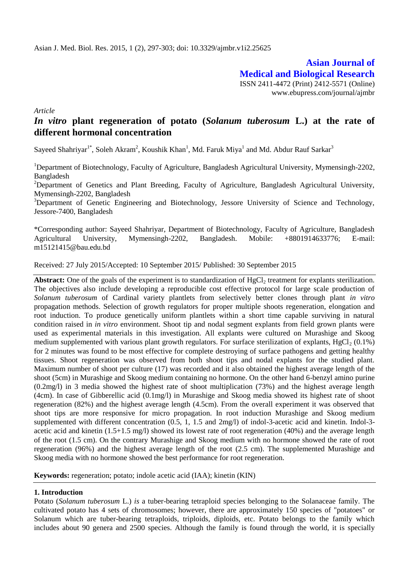**Asian Journal of Medical and Biological Research** ISSN 2411-4472 (Print) 2412-5571 (Online) www.ebupress.com/journal/ajmbr

*Article*

# *In vitro* **plant regeneration of potato (***Solanum tuberosum* **L.) at the rate of different hormonal concentration**

Sayeed Shahriyar<sup>1\*</sup>, Soleh Akram<sup>2</sup>, Koushik Khan<sup>1</sup>, Md. Faruk Miya<sup>1</sup> and Md. Abdur Rauf Sarkar<sup>3</sup>

<sup>1</sup>Department of Biotechnology, Faculty of Agriculture, Bangladesh Agricultural University, Mymensingh-2202, Bangladesh

<sup>2</sup>Department of Genetics and Plant Breeding, Faculty of Agriculture, Bangladesh Agricultural University, Mymensingh-2202, Bangladesh

<sup>3</sup>Department of Genetic Engineering and Biotechnology, Jessore University of Science and Technology, Jessore-7400, Bangladesh

\*Corresponding author: Sayeed Shahriyar, Department of Biotechnology, Faculty of Agriculture, Bangladesh Agricultural University, Mymensingh-2202, Bangladesh. Mobile: +8801914633776; E-mail: [m15121415@bau.edu.bd](mailto:m15121415@bau.edu.bd)

Received: 27 July 2015/Accepted: 10 September 2015/ Published: 30 September 2015

Abstract: One of the goals of the experiment is to standardization of HgCl<sub>2</sub> treatment for explants sterilization. The objectives also include developing a reproducible cost effective protocol for large scale production of *Solanum tuberosum* of Cardinal variety plantlets from selectively better clones through plant *in vitro* propagation methods. Selection of growth regulators for proper multiple shoots regeneration, elongation and root induction. To produce genetically uniform plantlets within a short time capable surviving in natural condition raised in *in vitro* environment. Shoot tip and nodal segment explants from field grown plants were used as experimental materials in this investigation. All explants were cultured on Murashige and Skoog medium supplemented with various plant growth regulators. For surface sterilization of explants,  $HgCl_2 (0.1\%)$ for 2 minutes was found to be most effective for complete destroying of surface pathogens and getting healthy tissues. Shoot regeneration was observed from both shoot tips and nodal explants for the studied plant. Maximum number of shoot per culture (17) was recorded and it also obtained the highest average length of the shoot (5cm) in Murashige and Skoog medium containing no hormone. On the other hand 6-benzyl amino purine (0.2mg/l) in 3 media showed the highest rate of shoot multiplication (73%) and the highest average length (4cm). In case of Gibberellic acid (0.1mg/l) in Murashige and Skoog media showed its highest rate of shoot regeneration (82%) and the highest average length (4.5cm). From the overall experiment it was observed that shoot tips are more responsive for micro propagation. In root induction Murashige and Skoog medium supplemented with different concentration (0.5, 1, 1.5 and 2mg/l) of indol-3-acetic acid and kinetin. Indol-3acetic acid and kinetin (1.5+1.5 mg/l) showed its lowest rate of root regeneration (40%) and the average length of the root (1.5 cm). On the contrary Murashige and Skoog medium with no hormone showed the rate of root regeneration (96%) and the highest average length of the root (2.5 cm). The supplemented Murashige and Skoog media with no hormone showed the best performance for root regeneration.

**Keywords:** regeneration; potato; indole acetic acid (IAA); kinetin (KIN)

### **1. Introduction**

Potato (*Solanum tuberosum* L.) *is* a tuber-bearing tetraploid species belonging to the Solanaceae family. The cultivated potato has 4 sets of chromosomes; however, there are approximately 150 species of "potatoes" or Solanum which are tuber-bearing tetraploids, triploids, diploids, etc. Potato belongs to the family which includes about 90 genera and 2500 species. Although the family is found through the world, it is specially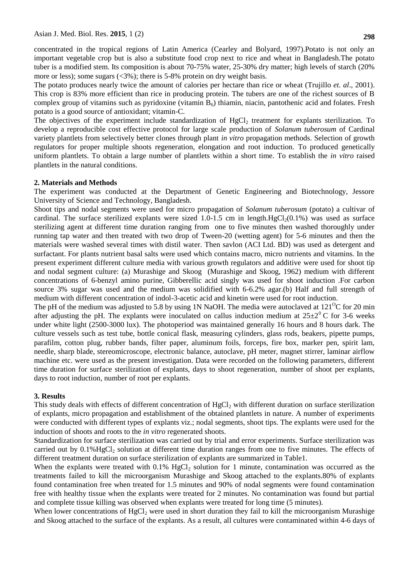concentrated in the tropical regions of Latin America (Cearley and Bolyard, 1997).Potato is not only an important vegetable crop but is also a substitute food crop next to rice and wheat in Bangladesh.The potato tuber is a modified stem. Its composition is about 70-75% water, 25-30% dry matter; high levels of starch (20% more or less); some sugars (<3%); there is 5-8% protein on dry weight basis.

The potato produces nearly twice the amount of calories per hectare than rice or wheat (Trujillo *et. al*., 2001). This crop is 83% more efficient than rice in producing protein. The tubers are one of the richest sources of B complex group of vitamins such as pyridoxine (vitamin  $B_6$ ) thiamin, niacin, pantothenic acid and folates. Fresh potato is a good source of antioxidant; vitamin-C.

The objectives of the experiment include standardization of  $HgCl<sub>2</sub>$  treatment for explants sterilization. To develop a reproducible cost effective protocol for large scale production of *Solanum tuberosum* of Cardinal variety plantlets from selectively better clones through plant *in vitro* propagation methods. Selection of growth regulators for proper multiple shoots regeneration, elongation and root induction. To produced genetically uniform plantlets. To obtain a large number of plantlets within a short time. To establish the *in vitro* raised plantlets in the natural conditions.

### **2. Materials and Methods**

The experiment was conducted at the Department of Genetic Engineering and Biotechnology, Jessore University of Science and Technology, Bangladesh.

Shoot tips and nodal segments were used for micro propagation of *Solanum tuberosum* (potato) a cultivar of cardinal. The surface sterilized explants were sized 1.0-1.5 cm in length.HgCl<sub>2</sub>(0.1%) was used as surface sterilizing agent at different time duration ranging from one to five minutes then washed thoroughly under running tap water and then treated with two drop of Tween-20 (wetting agent) for 5-6 minutes and then the materials were washed several times with distil water. Then savlon (ACI Ltd. BD) was used as detergent and surfactant. For plants nutrient basal salts were used which contains macro, micro nutrients and vitamins. In the present experiment different culture media with various growth regulators and additive were used for shoot tip and nodal segment culture: (a) Murashige and Skoog (Murashige and Skoog, 1962) medium with different concentrations of 6-benzyl amino purine, Gibberellic acid singly was used for shoot induction .For carbon source 3% sugar was used and the medium was solidified with 6-6.2% agar.(b) Half and full strength of medium with different concentration of indol-3-acetic acid and kinetin were used for root induction.

The pH of the medium was adjusted to 5.8 by using 1N NaOH. The media were autoclaved at  $121^{\circ}$ C for 20 min after adjusting the pH. The explants were inoculated on callus induction medium at  $25\pm2^{0}$ C for 3-6 weeks under white light (2500-3000 lux). The photoperiod was maintained generally 16 hours and 8 hours dark. The culture vessels such as test tube, bottle conical flask, measuring cylinders, glass rods, beakers, pipette pumps, parafilm, cotton plug, rubber bands, filter paper, aluminum foils, forceps, fire box, marker pen, spirit lam, needle, sharp blade, stereomicroscope, electronic balance, autoclave, pH meter, magnet stirrer, laminar airflow machine etc. were used as the present investigation. Data were recorded on the following parameters, different time duration for surface sterilization of explants, days to shoot regeneration, number of shoot per explants, days to root induction, number of root per explants.

### **3. Results**

This study deals with effects of different concentration of  $HgCl<sub>2</sub>$  with different duration on surface sterilization of explants, micro propagation and establishment of the obtained plantlets in nature. A number of experiments were conducted with different types of explants viz.; nodal segments, shoot tips. The explants were used for the induction of shoots and roots to the *in vitro* regenerated shoots.

Standardization for surface sterilization was carried out by trial and error experiments. Surface sterilization was carried out by  $0.1\%$  HgCl<sub>2</sub> solution at different time duration ranges from one to five minutes. The effects of different treatment duration on surface sterilization of explants are summarized in Table1.

When the explants were treated with  $0.1\%$  HgCl<sub>2</sub> solution for 1 minute, contamination was occurred as the treatments failed to kill the microorganism Murashige and Skoog attached to the explants.80% of explants found contamination free when treated for 1.5 minutes and 90% of nodal segments were found contamination free with healthy tissue when the explants were treated for 2 minutes. No contamination was found but partial and complete tissue killing was observed when explants were treated for long time (5 minutes).

When lower concentrations of  $HgCl<sub>2</sub>$  were used in short duration they fail to kill the microorganism Murashige and Skoog attached to the surface of the explants. As a result, all cultures were contaminated within 4-6 days of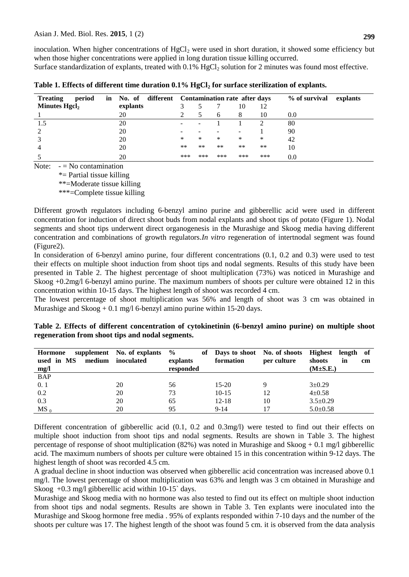inoculation. When higher concentrations of  $HgCl<sub>2</sub>$  were used in short duration, it showed some efficiency but when those higher concentrations were applied in long duration tissue killing occurred. Surface standardization of explants, treated with  $0.1\%$  HgCl<sub>2</sub> solution for 2 minutes was found most effective.

| <b>Treating</b><br>period | No. of different Contamination rate after days<br>in |                          |                          |                          |       |       | % of survival<br>explants |
|---------------------------|------------------------------------------------------|--------------------------|--------------------------|--------------------------|-------|-------|---------------------------|
| Minutes Hgcl <sub>2</sub> | explants                                             |                          |                          |                          | 10    | 12    |                           |
|                           | 20                                                   |                          |                          | $\sigma$                 | 8     | 10    | 0.0                       |
|                           | 20                                                   | $\overline{\phantom{a}}$ | $\overline{\phantom{0}}$ |                          |       |       | 80                        |
|                           | 20                                                   | $\overline{\phantom{0}}$ | -                        | $\overline{\phantom{0}}$ |       |       | 90                        |
|                           | 20                                                   | ∗                        | ∗                        | ∗                        | ∗     | *     | 42                        |
|                           | 20                                                   | $***$                    | $***$                    | $***$                    | $***$ | $***$ | 10                        |
|                           | 20                                                   | ***                      | ***                      | ***                      | ***   | ***   | 0.0                       |

**Table 1. Effects of different time duration 0.1% HgCl<sup>2</sup> for surface sterilization of explants.**

Note:  $-$  = No contamination

\*= Partial tissue killing

\*\*=Moderate tissue killing

\*\*\*=Complete tissue killing

Different growth regulators including 6-benzyl amino purine and gibberellic acid were used in different concentration for induction of direct shoot buds from nodal explants and shoot tips of potato (Figure 1). Nodal segments and shoot tips underwent direct organogenesis in the Murashige and Skoog media having different concentration and combinations of growth regulators.*In vitro* regeneration of intertnodal segment was found (Figure2).

In consideration of 6-benzyl amino purine, four different concentrations (0.1, 0.2 and 0.3) were used to test their effects on multiple shoot induction from shoot tips and nodal segments. Results of this study have been presented in Table 2. The highest percentage of shoot multiplication (73%) was noticed in Murashige and Skoog +0.2mg/l 6-benzyl amino purine. The maximum numbers of shoots per culture were obtained 12 in this concentration within 10-15 days. The highest length of shoot was recorded 4 cm.

The lowest percentage of shoot multiplication was 56% and length of shoot was 3 cm was obtained in Murashige and Skoog  $+ 0.1$  mg/l 6-benzyl amino purine within 15-20 days.

| Hormone<br>used in MS medium inoculated<br>mg/l | supplement No. of explants $\%$ | explants<br>responded | formation | per culture | of Days to shoot No. of shoots Highest length of<br>shoots<br>in<br>cm<br>$(M\pm S.E.)$ |
|-------------------------------------------------|---------------------------------|-----------------------|-----------|-------------|-----------------------------------------------------------------------------------------|
| <b>BAP</b>                                      |                                 |                       |           |             |                                                                                         |
| 0.1                                             | 20                              | 56                    | $15-20$   |             | $3+0.29$                                                                                |
| 0.2                                             | 20                              | 73                    | $10-15$   |             | $4 \pm 0.58$                                                                            |
| 0.3                                             | 20                              | 65                    | $12 - 18$ | 10          | $3.5 \pm 0.29$                                                                          |
| $MS_0$                                          | 20                              | 95                    | $9 - 14$  |             | $5.0 \pm 0.58$                                                                          |

**Table 2. Effects of different concentration of cytokinetinin (6-benzyl amino purine) on multiple shoot regeneration from shoot tips and nodal segments.** 

Different concentration of gibberellic acid (0.1, 0.2 and 0.3mg/l) were tested to find out their effects on multiple shoot induction from shoot tips and nodal segments. Results are shown in Table 3. The highest percentage of response of shoot multiplication (82%) was noted in Murashige and Skoog + 0.1 mg/l gibberellic acid. The maximum numbers of shoots per culture were obtained 15 in this concentration within 9-12 days. The highest length of shoot was recorded 4.5 cm.

A gradual decline in shoot induction was observed when gibberellic acid concentration was increased above 0.1 mg/l. The lowest percentage of shoot multiplication was 63% and length was 3 cm obtained in Murashige and Skoog +0.3 mg/l gibberellic acid within 10-15` days.

Murashige and Skoog media with no hormone was also tested to find out its effect on multiple shoot induction from shoot tips and nodal segments. Results are shown in Table 3. Ten explants were inoculated into the Murashige and Skoog hormone free media . 95% of explants responded within 7-10 days and the number of the shoots per culture was 17. The highest length of the shoot was found 5 cm. it is observed from the data analysis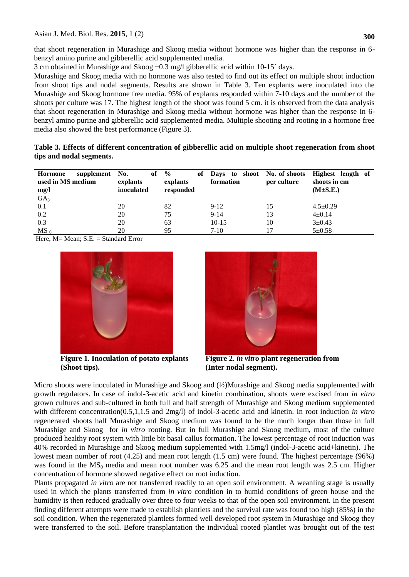that shoot regeneration in Murashige and Skoog media without hormone was higher than the response in 6 benzyl amino purine and gibberellic acid supplemented media.

3 cm obtained in Murashige and Skoog +0.3 mg/l gibberellic acid within 10-15` days.

Murashige and Skoog media with no hormone was also tested to find out its effect on multiple shoot induction from shoot tips and nodal segments. Results are shown in Table 3. Ten explants were inoculated into the Murashige and Skoog hormone free media. 95% of explants responded within 7-10 days and the number of the shoots per culture was 17. The highest length of the shoot was found 5 cm. it is observed from the data analysis that shoot regeneration in Murashige and Skoog media without hormone was higher than the response in 6 benzyl amino purine and gibberellic acid supplemented media. Multiple shooting and rooting in a hormone free media also showed the best performance (Figure 3).

|                          | Table 3. Effects of different concentration of gibberellic acid on multiple shoot regeneration from shoot |  |
|--------------------------|-----------------------------------------------------------------------------------------------------------|--|
| tips and nodal segments. |                                                                                                           |  |

| supplement<br>Hormone<br>used in MS medium<br>mg/l | of<br>No.<br>explants<br>inoculated | $\frac{6}{9}$<br>оf<br>explants<br>responded | Days to shoot No. of shoots<br>formation | per culture | Highest length of<br>shoots in cm<br>$(M\pm S.E.)$ |
|----------------------------------------------------|-------------------------------------|----------------------------------------------|------------------------------------------|-------------|----------------------------------------------------|
| GA <sub>3</sub>                                    |                                     |                                              |                                          |             |                                                    |
| 0.1                                                | 20                                  | 82                                           | $9 - 12$                                 | 15          | $4.5 \pm 0.29$                                     |
| 0.2                                                | 20                                  | 75                                           | $9 - 14$                                 | 13          | $4\pm 0.14$                                        |
| 0.3                                                | 20                                  | 63                                           | $10-15$                                  | 10          | $3 \pm 0.43$                                       |
| $MS_0$                                             | 20                                  | 95                                           | 7-10                                     |             | $5 \pm 0.58$                                       |

Here, M= Mean; S.E. = Standard Error



 **(Shoot tips). (Inter nodal segment).** 



**Figure 1. Inoculation of potato explants Figure 2.** *in vitro* **plant regeneration from** 

Micro shoots were inoculated in Murashige and Skoog and (½)Murashige and Skoog media supplemented with growth regulators. In case of indol-3-acetic acid and kinetin combination, shoots were excised from *in vitro*  grown cultures and sub-cultured in both full and half strength of Murashige and Skoog medium supplemented with different concentration(0.5,1,1.5 and 2mg/l) of indol-3-acetic acid and kinetin. In root induction *in vitro* regenerated shoots half Murashige and Skoog medium was found to be the much longer than those in full Murashige and Skoog for *in vitro* rooting. But in full Murashige and Skoog medium, most of the culture produced healthy root system with little bit basal callus formation. The lowest percentage of root induction was 40% recorded in Murashige and Skoog medium supplemented with 1.5mg/l (indol-3-acetic acid+kinetin). The lowest mean number of root (4.25) and mean root length (1.5 cm) were found. The highest percentage (96%) was found in the  $MS_0$  media and mean root number was 6.25 and the mean root length was 2.5 cm. Higher concentration of hormone showed negative effect on root induction.

Plants propagated *in vitro* are not transferred readily to an open soil environment. A weanling stage is usually used in which the plants transferred from *in vitro* condition in to humid conditions of green house and the humidity is then reduced gradually over three to four weeks to that of the open soil environment. In the present finding different attempts were made to establish plantlets and the survival rate was found too high (85%) in the soil condition. When the regenerated plantlets formed well developed root system in Murashige and Skoog they were transferred to the soil. Before transplantation the individual rooted plantlet was brought out of the test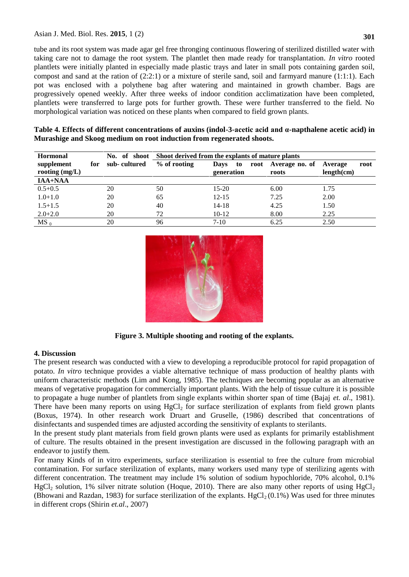tube and its root system was made agar gel free thronging continuous flowering of sterilized distilled water with taking care not to damage the root system. The plantlet then made ready for transplantation. *In vitro* rooted plantlets were initially planted in especially made plastic trays and later in small pots containing garden soil, compost and sand at the ration of (2:2:1) or a mixture of sterile sand, soil and farmyard manure (1:1:1). Each pot was enclosed with a polythene bag after watering and maintained in growth chamber. Bags are progressively opened weekly. After three weeks of indoor condition acclimatization have been completed, plantlets were transferred to large pots for further growth. These were further transferred to the field. No morphological variation was noticed on these plants when compared to field grown plants.

| Table 4. Effects of different concentrations of auxins (indol-3-acetic acid and $\alpha$ -napthalene acetic acid) in |
|----------------------------------------------------------------------------------------------------------------------|
| Murashige and Skoog medium on root induction from regenerated shoots.                                                |

| Hormonal         |     | No. of shoot | Shoot derived from the explants of mature plants |                   |                     |                 |  |
|------------------|-----|--------------|--------------------------------------------------|-------------------|---------------------|-----------------|--|
| supplement       | for | sub-cultured | % of rooting                                     | <b>Days</b><br>to | root Average no. of | root<br>Average |  |
| rooting $(mg/L)$ |     |              |                                                  | generation        | roots               | length(cm)      |  |
| IAA+NAA          |     |              |                                                  |                   |                     |                 |  |
| $0.5 + 0.5$      |     | 20           | 50                                               | $15-20$           | 6.00                | 1.75            |  |
| $1.0 + 1.0$      |     | 20           | 65                                               | $12 - 15$         | 7.25                | 2.00            |  |
| $1.5 + 1.5$      |     | 20           | 40                                               | 14-18             | 4.25                | 1.50            |  |
| $2.0 + 2.0$      |     | 20           | 72                                               | $10-12$           | 8.00                | 2.25            |  |
| $MS_0$           |     | 20           | 96                                               | 7-10              | 6.25                | 2.50            |  |



**Figure 3. Multiple shooting and rooting of the explants.**

## **4. Discussion**

The present research was conducted with a view to developing a reproducible protocol for rapid propagation of potato. *In vitro* technique provides a viable alternative technique of mass production of healthy plants with uniform characteristic methods (Lim and Kong, 1985). The techniques are becoming popular as an alternative means of vegetative propagation for commercially important plants. With the help of tissue culture it is possible to propagate a huge number of plantlets from single explants within shorter span of time (Bajaj *et. al*., 1981). There have been many reports on using  $HgCl<sub>2</sub>$  for surface sterilization of explants from field grown plants (Boxus, 1974). In other research work Druart and Gruselle, (1986) described that concentrations of disinfectants and suspended times are adjusted according the sensitivity of explants to sterilants.

In the present study plant materials from field grown plants were used as explants for primarily establishment of culture. The results obtained in the present investigation are discussed in the following paragraph with an endeavor to justify them.

For many Kinds of in vitro experiments, surface sterilization is essential to free the culture from microbial contamination. For surface sterilization of explants, many workers used many type of sterilizing agents with different concentration. The treatment may include 1% solution of sodium hypochloride, 70% alcohol, 0.1% HgCl<sub>2</sub> solution, 1% silver nitrate solution (Hoque, 2010). There are also many other reports of using HgCl<sub>2</sub> (Bhowani and Razdan, 1983) for surface sterilization of the explants. HgCl<sub>2</sub> (0.1%) Was used for three minutes in different crops (Shirin *et.al*., 2007)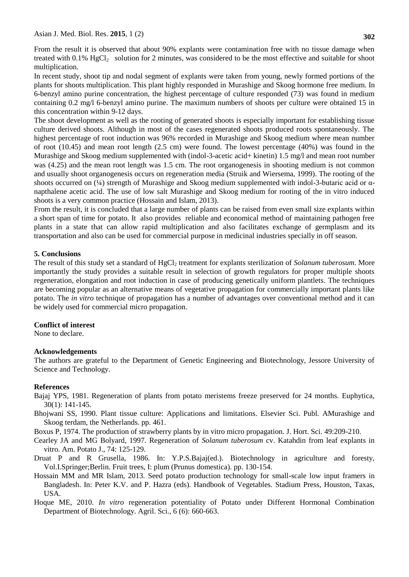From the result it is observed that about 90% explants were contamination free with no tissue damage when treated with 0.1% HgCl<sub>2</sub> solution for 2 minutes, was considered to be the most effective and suitable for shoot multiplication.

In recent study, shoot tip and nodal segment of explants were taken from young, newly formed portions of the plants for shoots multiplication. This plant highly responded in Murashige and Skoog hormone free medium. In 6-benzyl amino purine concentration, the highest percentage of culture responded (73) was found in medium containing 0.2 mg/l 6-benzyl amino purine. The maximum numbers of shoots per culture were obtained 15 in this concentration within 9-12 days.

The shoot development as well as the rooting of generated shoots is especially important for establishing tissue culture derived shoots. Although in most of the cases regenerated shoots produced roots spontaneously. The highest percentage of root induction was 96% recorded in Murashige and Skoog medium where mean number of root (10.45) and mean root length (2.5 cm) were found. The lowest percentage (40%) was found in the Murashige and Skoog medium supplemented with (indol-3-acetic acid+ kinetin) 1.5 mg/l and mean root number was (4.25) and the mean root length was 1.5 cm. The root organogenesis in shooting medium is not common and usually shoot organogenesis occurs on regeneration media (Struik and Wiersema, 1999). The rooting of the shoots occurred on  $(½)$  strength of Murashige and Skoog medium supplemented with indol-3-butaric acid or  $\alpha$ napthalene acetic acid. The use of low salt Murashige and Skoog medium for rooting of the in vitro induced shoots is a very common practice (Hossain and Islam, 2013).

From the result, it is concluded that a large number of plants can be raised from even small size explants within a short span of time for potato. It also provides reliable and economical method of maintaining pathogen free plants in a state that can allow rapid multiplication and also facilitates exchange of germplasm and its transportation and also can be used for commercial purpose in medicinal industries specially in off season.

### **5. Conclusions**

The result of this study set a standard of HgCl<sub>2</sub> treatment for explants sterilization of *Solanum tuberosum*. More importantly the study provides a suitable result in selection of growth regulators for proper multiple shoots regeneration, elongation and root induction in case of producing genetically uniform plantlets. The techniques are becoming popular as an alternative means of vegetative propagation for commercially important plants like potato. The *in vitro* technique of propagation has a number of advantages over conventional method and it can be widely used for commercial micro propagation.

#### **Conflict of interest**

None to declare.

### **Acknowledgements**

The authors are grateful to the Department of Genetic Engineering and Biotechnology, Jessore University of Science and Technology.

### **References**

- Bajaj YPS, 1981. Regeneration of plants from potato meristems freeze preserved for 24 months. Euphytica, 30(1): 141-145.
- Bhojwani SS, 1990. Plant tissue culture: Applications and limitations. Elsevier Sci. Publ. AMurashige and Skoog terdam, the Netherlands. pp. 461.
- Boxus P, 1974. The production of strawberry plants by in vitro micro propagation. J. Hort. Sci. 49:209-210.
- Cearley JA and MG Bolyard, 1997. Regeneration of *Solanum tuberosum* cv. Katahdin from leaf explants in vitro. Am. Potato J., 74: 125-129.
- Druat P and R Grusella, 1986. In: Y.P.S.Bajaj(ed.). Biotechnology in agriculture and foresty, Vol.I.Springer;Berlin. Fruit trees, I: plum (Prunus domestica). pp. 130-154.
- Hossain MM and MR Islam, 2013. Seed potato production technology for small-scale low input framers in Bangladesh. In: Peter K.V. and P. Hazra (eds). Handbook of Vegetables. Stadium Press, Houston, Taxas, USA.
- Hoque ME, 2010. *In vitro* regeneration potentiality of Potato under Different Hormonal Combination Department of Biotechnology. Agril. Sci., 6 (6): 660-663.